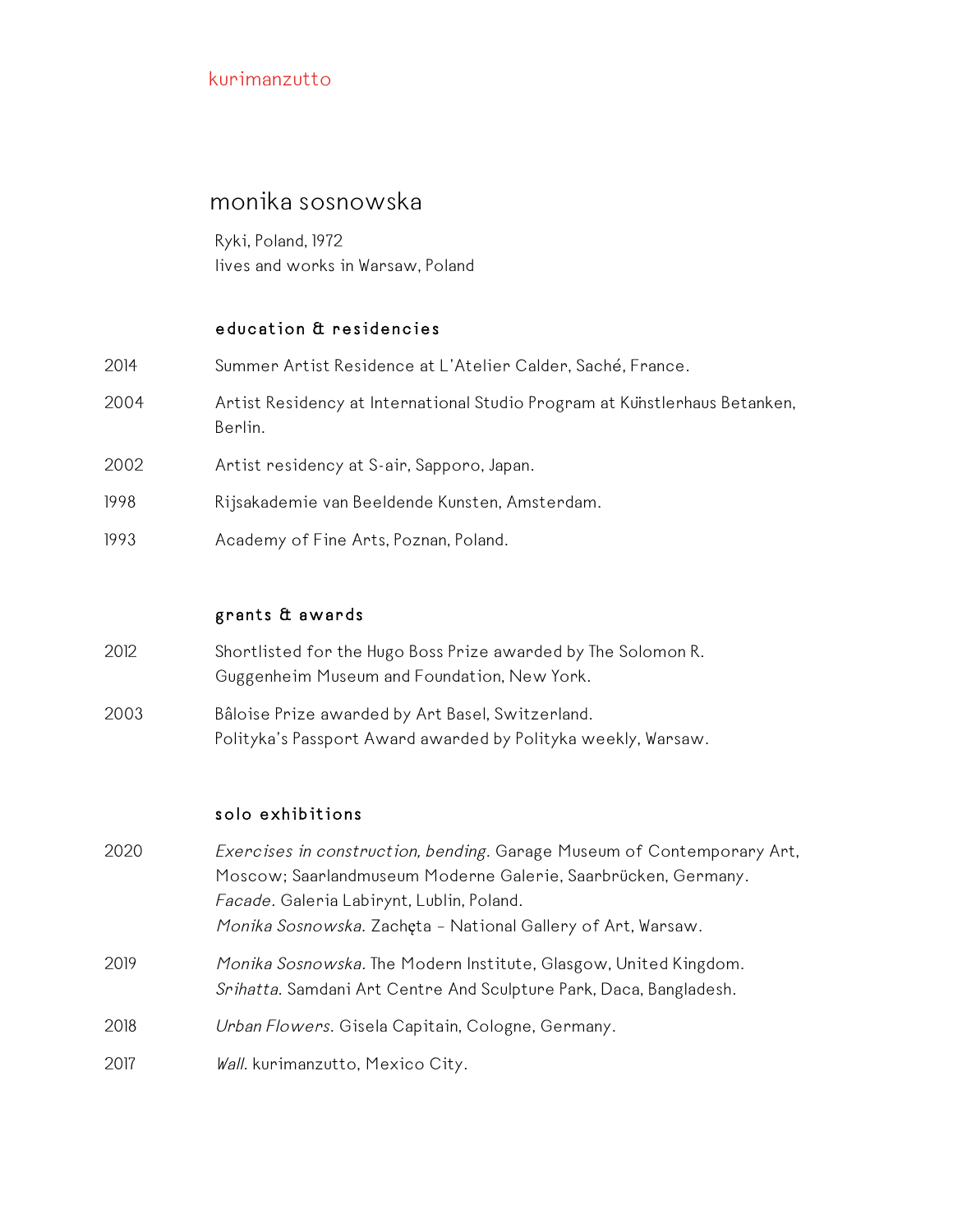#### monika sosnowska

Ryki, Poland, 1972 lives and works in Warsaw, Poland

#### education & residencies

| 2014 | Summer Artist Residence at L'Atelier Calder, Saché, France.                           |
|------|---------------------------------------------------------------------------------------|
| 2004 | Artist Residency at International Studio Program at Kunstlerhaus Betanken,<br>Berlin. |
| 2002 | Artist residency at S-air, Sapporo, Japan.                                            |
| 1998 | Rijsakademie van Beeldende Kunsten, Amsterdam.                                        |
| 1993 | Academy of Fine Arts, Poznan, Poland.                                                 |

#### grants & awards

- 2012 Shortlisted for the Hugo Boss Prize awarded by The Solomon R. Guggenheim Museum and Foundation, New York.
- 2003 Bâloise Prize awarded by Art Basel, Switzerland. Polityka's Passport Award awarded by Polityka weekly, Warsaw.

#### solo exhibitions

2020 Exercises in construction, bending. Garage Museum of Contemporary Art, Moscow; Saarlandmuseum Moderne Galerie, Saarbrücken, Germany. Facade. Galeria Labirynt, Lublin, Poland. Monika Sosnowska. Zachęta – National Gallery of Art, Warsaw. 2019 Monika Sosnowska. The Modern Institute, Glasgow, United Kingdom. Srihatta. Samdani Art Centre And Sculpture Park, Daca, Bangladesh. 2018 Urban Flowers. Gisela Capitain, Cologne, Germany. 2017 Wall. kurimanzutto, Mexico City.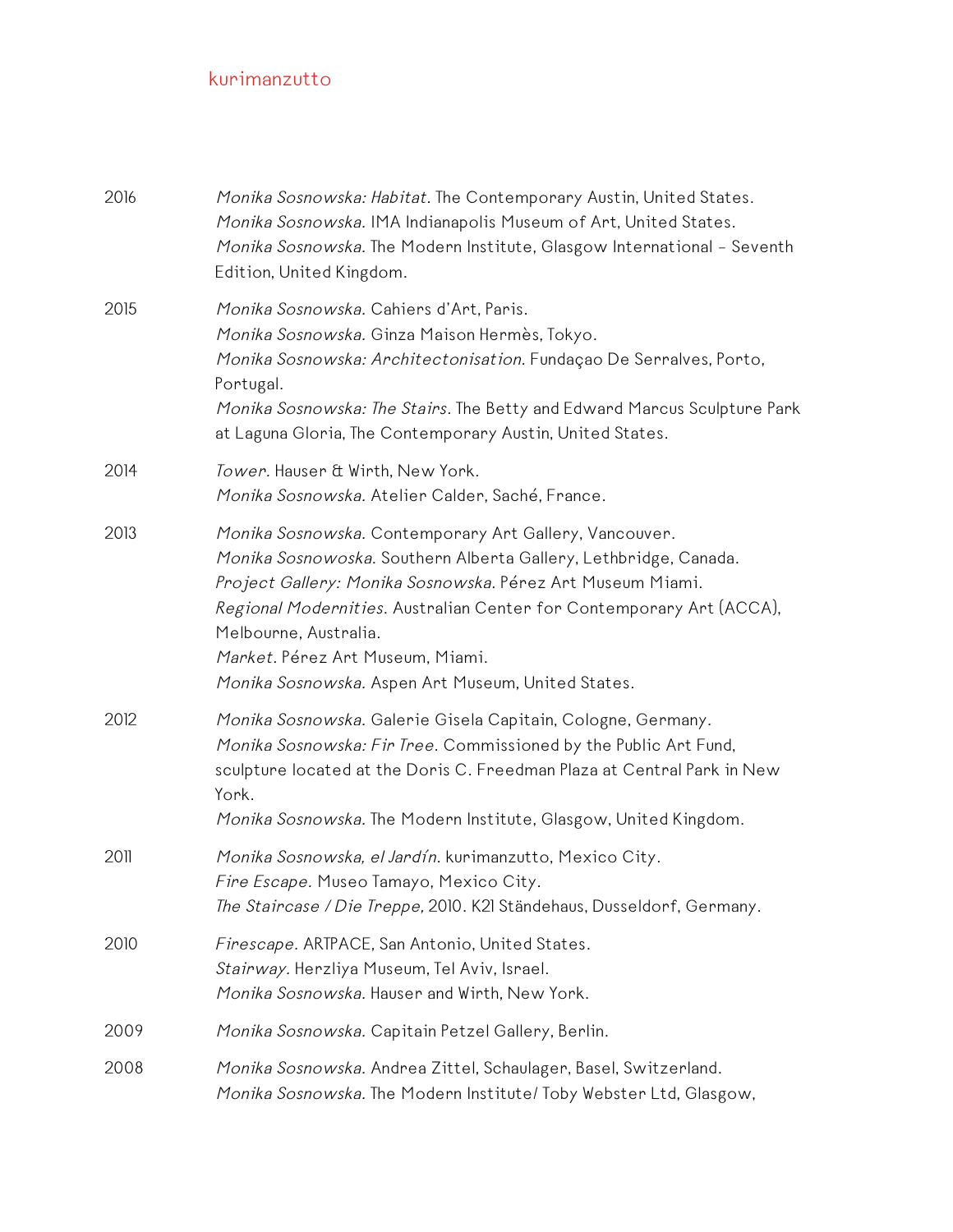| 2016 | Monika Sosnowska: Habitat. The Contemporary Austin, United States.<br>Monika Sosnowska. IMA Indianapolis Museum of Art, United States.<br>Monika Sosnowska. The Modern Institute, Glasgow International - Seventh<br>Edition, United Kingdom.                                                                                                                                       |
|------|-------------------------------------------------------------------------------------------------------------------------------------------------------------------------------------------------------------------------------------------------------------------------------------------------------------------------------------------------------------------------------------|
| 2015 | Monika Sosnowska. Cahiers d'Art, Paris.<br>Monika Sosnowska. Ginza Maison Hermès, Tokyo.<br>Monika Sosnowska: Architectonisation. Fundaçao De Serralves, Porto,<br>Portugal.<br>Monika Sosnowska: The Stairs. The Betty and Edward Marcus Sculpture Park<br>at Laguna Gloria, The Contemporary Austin, United States.                                                               |
| 2014 | Tower. Hauser & Wirth, New York.<br>Monika Sosnowska. Atelier Calder, Saché, France.                                                                                                                                                                                                                                                                                                |
| 2013 | Monika Sosnowska. Contemporary Art Gallery, Vancouver.<br>Monika Sosnowoska. Southern Alberta Gallery, Lethbridge, Canada.<br>Project Gallery: Monika Sosnowska. Pérez Art Museum Miami.<br>Regional Modernities. Australian Center for Contemporary Art (ACCA),<br>Melbourne, Australia.<br>Market. Pérez Art Museum, Miami.<br>Monika Sosnowska. Aspen Art Museum, United States. |
| 2012 | Monika Sosnowska. Galerie Gisela Capitain, Cologne, Germany.<br>Monika Sosnowska: Fir Tree. Commissioned by the Public Art Fund,<br>sculpture located at the Doris C. Freedman Plaza at Central Park in New<br>York.<br>Monika Sosnowska. The Modern Institute, Glasgow, United Kingdom.                                                                                            |
| 2011 | Monika Sosnowska, el Jardín. kurimanzutto, Mexico City.<br>Fire Escape. Museo Tamayo, Mexico City.<br>The Staircase / Die Treppe, 2010. K21 Ständehaus, Dusseldorf, Germany.                                                                                                                                                                                                        |
| 2010 | Firescape. ARTPACE, San Antonio, United States.<br>Stairway. Herzliya Museum, Tel Aviv, Israel.<br>Monika Sosnowska. Hauser and Wirth, New York.                                                                                                                                                                                                                                    |
| 2009 | Monika Sosnowska. Capitain Petzel Gallery, Berlin.                                                                                                                                                                                                                                                                                                                                  |
| 2008 | Monika Sosnowska. Andrea Zittel, Schaulager, Basel, Switzerland.<br>Monika Sosnowska. The Modern Institute/ Toby Webster Ltd, Glasgow,                                                                                                                                                                                                                                              |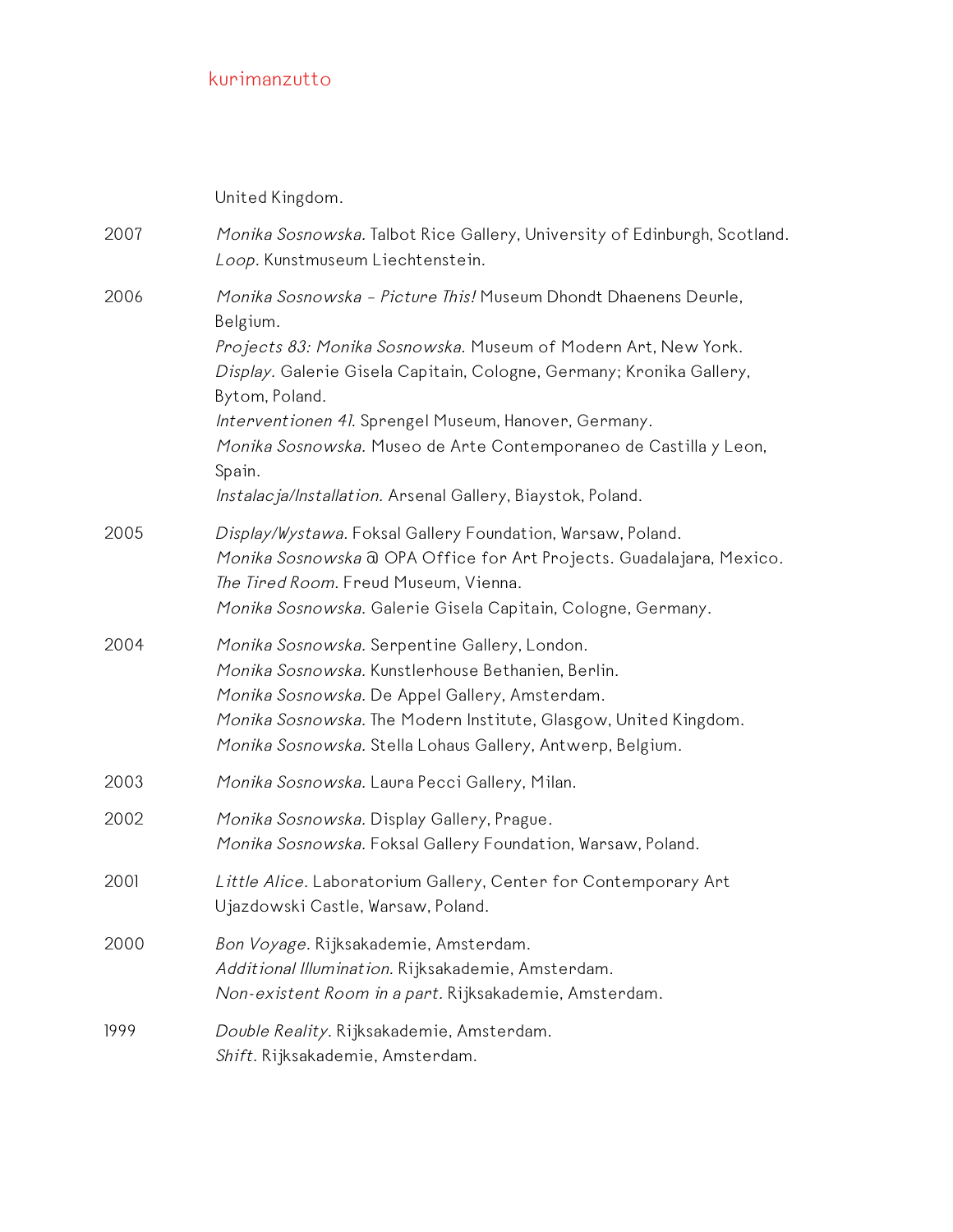United Kingdom.

2007 *Monika Sosnowska*. Talbot Rice Gallery, University of Edinburgh, Scotland. Loop. Kunstmuseum Liechtenstein. 2006 Monika Sosnowska – Picture This! Museum Dhondt Dhaenens Deurle, Belgium. Projects 83: Monika Sosnowska. Museum of Modern Art, New York. Display. Galerie Gisela Capitain, Cologne, Germany; Kronika Gallery, Bytom, Poland. Interventionen 41. Sprengel Museum, Hanover, Germany. Monika Sosnowska. Museo de Arte Contemporaneo de Castilla y Leon, Spain. Instalacja/Installation. Arsenal Gallery, Biaystok, Poland. 2005 Display/Wystawa. Foksal Gallery Foundation, Warsaw, Poland. Monika Sosnowska @ OPA Office for Art Projects. Guadalajara, Mexico. The Tired Room. Freud Museum, Vienna. Monika Sosnowska. Galerie Gisela Capitain, Cologne, Germany. 2004 Monika Sosnowska. Serpentine Gallery, London. Monika Sosnowska. Kunstlerhouse Bethanien, Berlin. Monika Sosnowska. De Appel Gallery, Amsterdam. Monika Sosnowska. The Modern Institute, Glasgow, United Kingdom. Monika Sosnowska. Stella Lohaus Gallery, Antwerp, Belgium. 2003 Monika Sosnowska. Laura Pecci Gallery, Milan. 2002 Monika Sosnowska. Display Gallery, Prague. Monika Sosnowska. Foksal Gallery Foundation, Warsaw, Poland. 2001 Little Alice. Laboratorium Gallery, Center for Contemporary Art Ujazdowski Castle, Warsaw, Poland. 2000 Bon Voyage. Rijksakademie, Amsterdam. Additional Illumination. Rijksakademie, Amsterdam. Non-existent Room in <sup>a</sup> part. Rijksakademie, Amsterdam. 1999 Double Reality. Rijksakademie, Amsterdam. Shift. Rijksakademie, Amsterdam.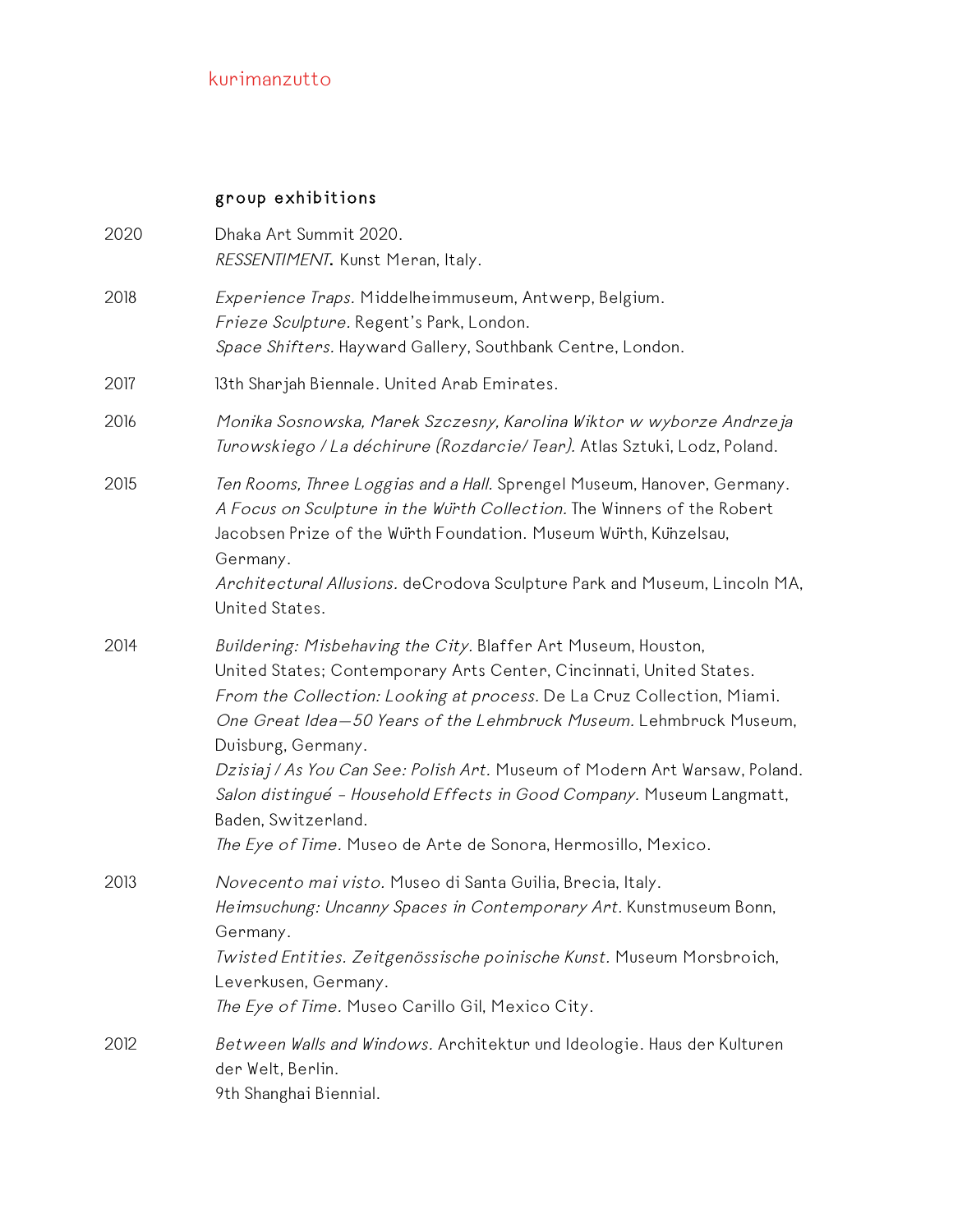#### group exhibitions

| 2020 | Dhaka Art Summit 2020.<br>RESSENTIMENT. Kunst Meran, Italy.                                                                                                                                                                                                                                                                                                                                                                                                                                                                                                |
|------|------------------------------------------------------------------------------------------------------------------------------------------------------------------------------------------------------------------------------------------------------------------------------------------------------------------------------------------------------------------------------------------------------------------------------------------------------------------------------------------------------------------------------------------------------------|
| 2018 | Experience Traps. Middelheimmuseum, Antwerp, Belgium.<br>Frieze Sculpture. Regent's Park, London.<br>Space Shifters. Hayward Gallery, Southbank Centre, London.                                                                                                                                                                                                                                                                                                                                                                                            |
| 2017 | 13th Sharjah Biennale. United Arab Emirates.                                                                                                                                                                                                                                                                                                                                                                                                                                                                                                               |
| 2016 | Monika Sosnowska, Marek Szczesny, Karolina Wiktor w wyborze Andrzeja<br>Turowskiego / La déchirure (Rozdarcie/ Tear). Atlas Sztuki, Lodz, Poland.                                                                                                                                                                                                                                                                                                                                                                                                          |
| 2015 | Ten Rooms, Three Loggias and a Hall. Sprengel Museum, Hanover, Germany.<br>A Focus on Sculpture in the Würth Collection. The Winners of the Robert<br>Jacobsen Prize of the Wurth Foundation. Museum Wurth, Kunzelsau,<br>Germany.<br>Architectural Allusions. deCrodova Sculpture Park and Museum, Lincoln MA,<br>United States.                                                                                                                                                                                                                          |
| 2014 | Buildering: Misbehaving the City. Blaffer Art Museum, Houston,<br>United States; Contemporary Arts Center, Cincinnati, United States.<br>From the Collection: Looking at process. De La Cruz Collection, Miami.<br>One Great Idea-50 Years of the Lehmbruck Museum. Lehmbruck Museum,<br>Duisburg, Germany.<br>Dzisiaj / As You Can See: Polish Art. Museum of Modern Art Warsaw, Poland.<br>Salon distingué - Household Effects in Good Company. Museum Langmatt,<br>Baden, Switzerland.<br>The Eye of Time. Museo de Arte de Sonora, Hermosillo, Mexico. |
| 2013 | Novecento mai visto. Museo di Santa Guilia, Brecia, Italy.<br>Heimsuchung: Uncanny Spaces in Contemporary Art. Kunstmuseum Bonn,<br>Germany.<br>Twisted Entities. Zeitgenössische poinische Kunst. Museum Morsbroich,<br>Leverkusen, Germany.<br>The Eye of Time. Museo Carillo Gil, Mexico City.                                                                                                                                                                                                                                                          |
| 2012 | Between Walls and Windows. Architektur und Ideologie. Haus der Kulturen<br>der Welt, Berlin.<br>9th Shanghai Biennial.                                                                                                                                                                                                                                                                                                                                                                                                                                     |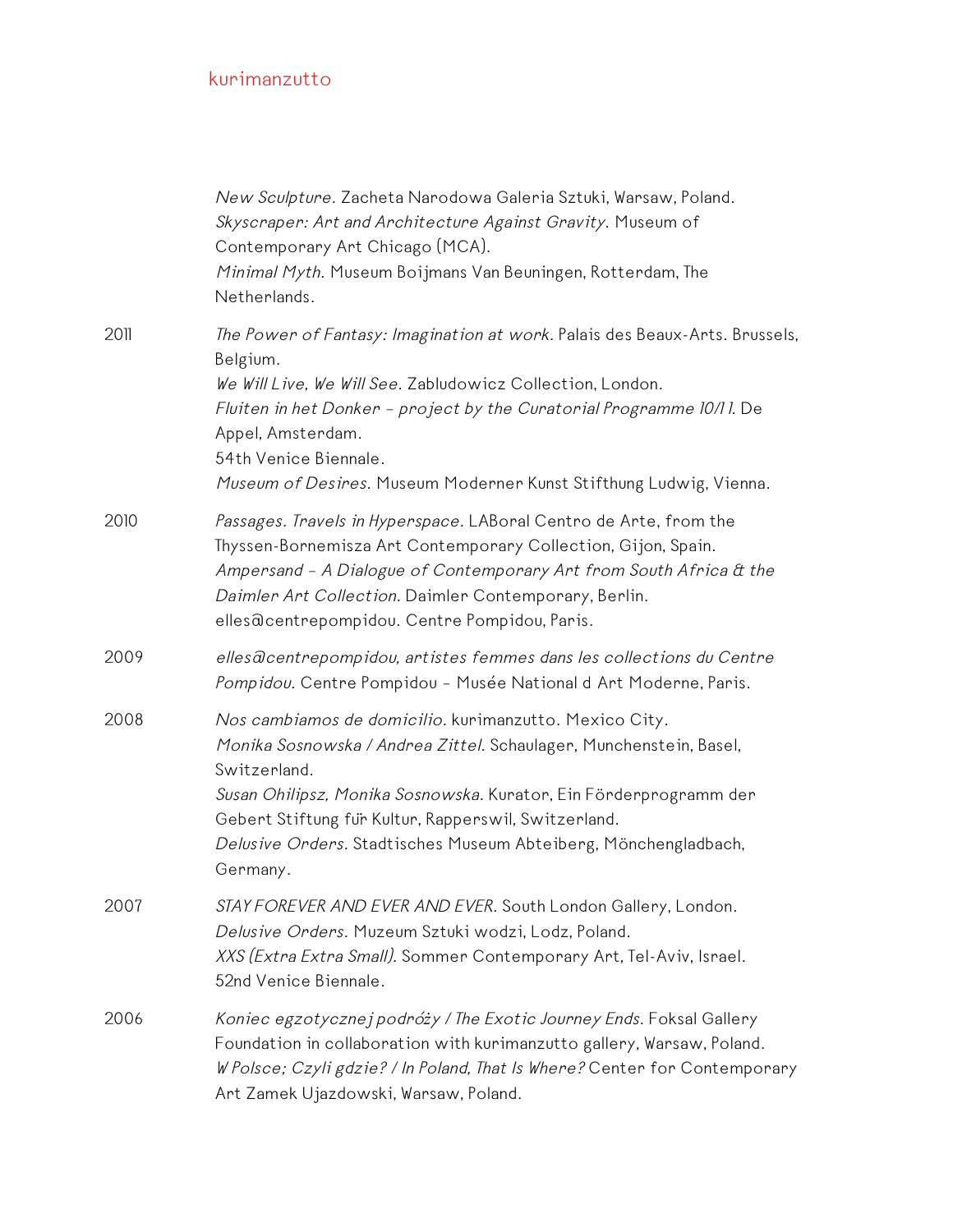|      | New Sculpture. Zacheta Narodowa Galeria Sztuki, Warsaw, Poland.<br>Skyscraper: Art and Architecture Against Gravity. Museum of<br>Contemporary Art Chicago (MCA).<br>Minimal Myth. Museum Boijmans Van Beuningen, Rotterdam, The<br>Netherlands.                                                                                                         |
|------|----------------------------------------------------------------------------------------------------------------------------------------------------------------------------------------------------------------------------------------------------------------------------------------------------------------------------------------------------------|
| 2011 | The Power of Fantasy: Imagination at work. Palais des Beaux-Arts. Brussels,<br>Belgium.<br>We Will Live, We Will See. Zabludowicz Collection, London.<br>Fluiten in het Donker - project by the Curatorial Programme 10/11. De<br>Appel, Amsterdam.<br>54th Venice Biennale.<br>Museum of Desires. Museum Moderner Kunst Stifthung Ludwig, Vienna.       |
| 2010 | Passages. Travels in Hyperspace. LABoral Centro de Arte, from the<br>Thyssen-Bornemisza Art Contemporary Collection, Gijon, Spain.<br>Ampersand - A Dialogue of Contemporary Art from South Africa & the<br>Daimler Art Collection. Daimler Contemporary, Berlin.<br>elles@centrepompidou. Centre Pompidou, Paris.                                       |
| 2009 | elles acentrepompidou, artistes femmes dans les collections du Centre<br>Pompidou. Centre Pompidou - Musée National d Art Moderne, Paris.                                                                                                                                                                                                                |
| 2008 | Nos cambiamos de domicilio. kurimanzutto. Mexico City.<br>Monika Sosnowska / Andrea Zittel. Schaulager, Munchenstein, Basel,<br>Switzerland.<br>Susan Ohilipsz, Monika Sosnowska. Kurator, Ein Förderprogramm der<br>Gebert Stiftung für Kultur, Rapperswil, Switzerland.<br>Delusive Orders. Stadtisches Museum Abteiberg, Mönchengladbach,<br>Germany. |
| 2007 | STAY FOREVER AND EVER AND EVER. South London Gallery, London.<br>Delusive Orders. Muzeum Sztuki wodzi, Lodz, Poland.<br>XXS (Extra Extra Small). Sommer Contemporary Art, Tel-Aviv, Israel.<br>52nd Venice Biennale.                                                                                                                                     |
| 2006 | Koniec egzotycznej podróży / The Exotic Journey Ends. Foksal Gallery<br>Foundation in collaboration with kurimanzutto gallery, Warsaw, Poland.<br>W Polsce; Czyli gdzie? / In Poland, That Is Where? Center for Contemporary<br>Art Zamek Ujazdowski, Warsaw, Poland.                                                                                    |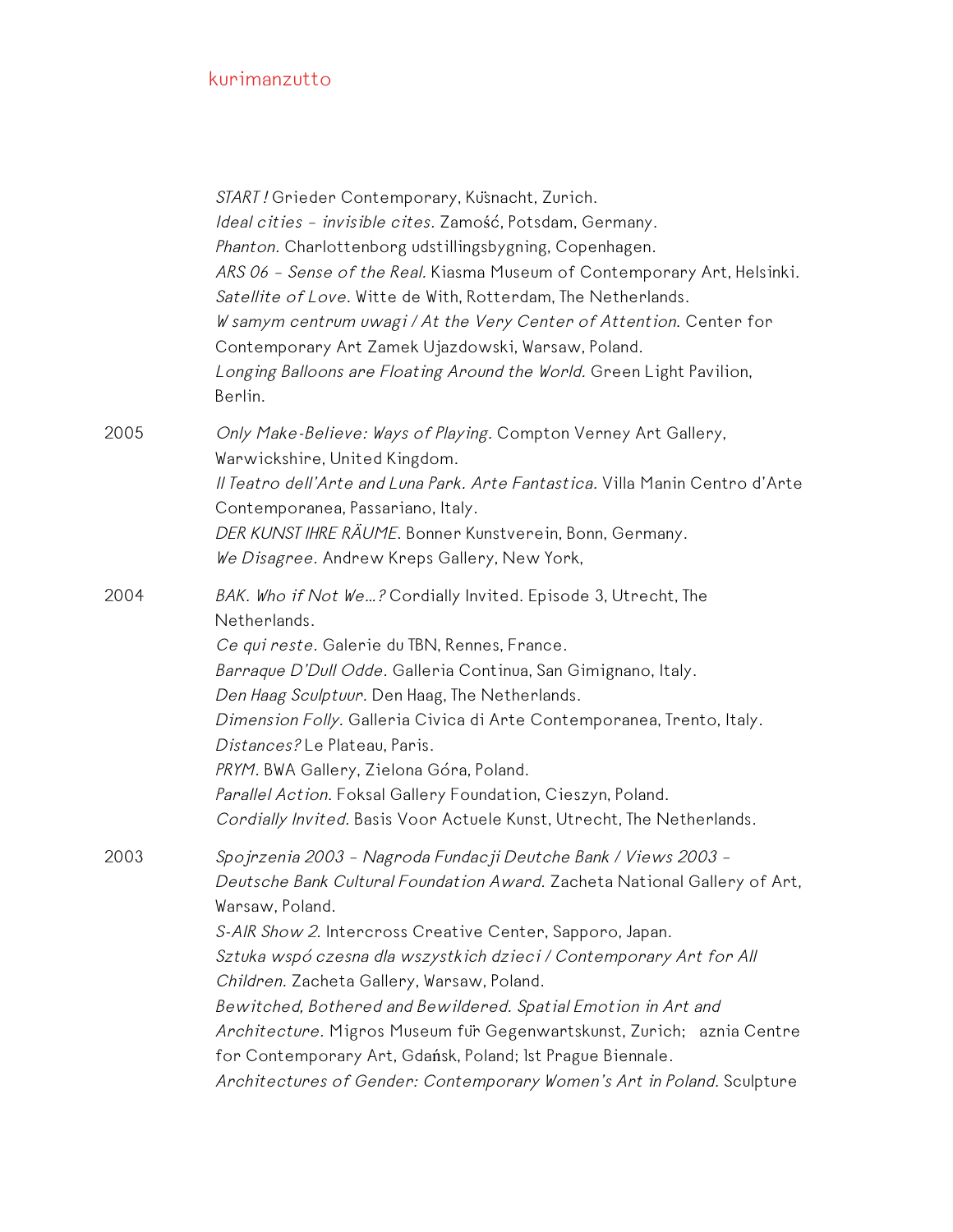|      | START! Grieder Contemporary, Kusnacht, Zurich.<br>Ideal cities - invisible cites. Zamość, Potsdam, Germany.<br>Phanton. Charlottenborg udstillingsbygning, Copenhagen.<br>ARS 06 - Sense of the Real. Kiasma Museum of Contemporary Art, Helsinki.<br>Satellite of Love. Witte de With, Rotterdam, The Netherlands.<br>W samym centrum uwagi / At the Very Center of Attention. Center for<br>Contemporary Art Zamek Ujazdowski, Warsaw, Poland.<br>Longing Balloons are Floating Around the World. Green Light Pavilion,<br>Berlin.                                                                                                |
|------|-------------------------------------------------------------------------------------------------------------------------------------------------------------------------------------------------------------------------------------------------------------------------------------------------------------------------------------------------------------------------------------------------------------------------------------------------------------------------------------------------------------------------------------------------------------------------------------------------------------------------------------|
| 2005 | Only Make-Believe: Ways of Playing. Compton Verney Art Gallery,<br>Warwickshire, United Kingdom.<br>Il Teatro dell'Arte and Luna Park. Arte Fantastica. Villa Manin Centro d'Arte<br>Contemporanea, Passariano, Italy.<br>DER KUNST IHRE RÄUME. Bonner Kunstverein, Bonn, Germany.<br>We Disagree. Andrew Kreps Gallery, New York,                                                                                                                                                                                                                                                                                                  |
| 2004 | BAK. Who if Not We? Cordially Invited. Episode 3, Utrecht, The<br>Netherlands.<br>Ce qui reste. Galerie du TBN, Rennes, France.<br>Barraque D'Dull Odde. Galleria Continua, San Gimignano, Italy.<br>Den Haag Sculptuur. Den Haag, The Netherlands.<br>Dimension Folly. Galleria Civica di Arte Contemporanea, Trento, Italy.<br>Distances? Le Plateau, Paris.<br>PRYM. BWA Gallery, Zielona Góra, Poland.<br>Parallel Action. Foksal Gallery Foundation, Cieszyn, Poland.<br>Cordially Invited. Basis Voor Actuele Kunst, Utrecht, The Netherlands.                                                                                |
| 2003 | Spojrzenia 2003 - Nagroda Fundacji Deutche Bank / Views 2003 -<br>Deutsche Bank Cultural Foundation Award. Zacheta National Gallery of Art,<br>Warsaw, Poland.<br>S-AIR Show 2. Intercross Creative Center, Sapporo, Japan.<br>Sztuka wspó czesna dla wszystkich dzieci / Contemporary Art for All<br>Children. Zacheta Gallery, Warsaw, Poland.<br>Bewitched, Bothered and Bewildered. Spatial Emotion in Art and<br>Architecture. Migros Museum für Gegenwartskunst, Zurich; aznia Centre<br>for Contemporary Art, Gdańsk, Poland; 1st Prague Biennale.<br>Architectures of Gender: Contemporary Women's Art in Poland. Sculpture |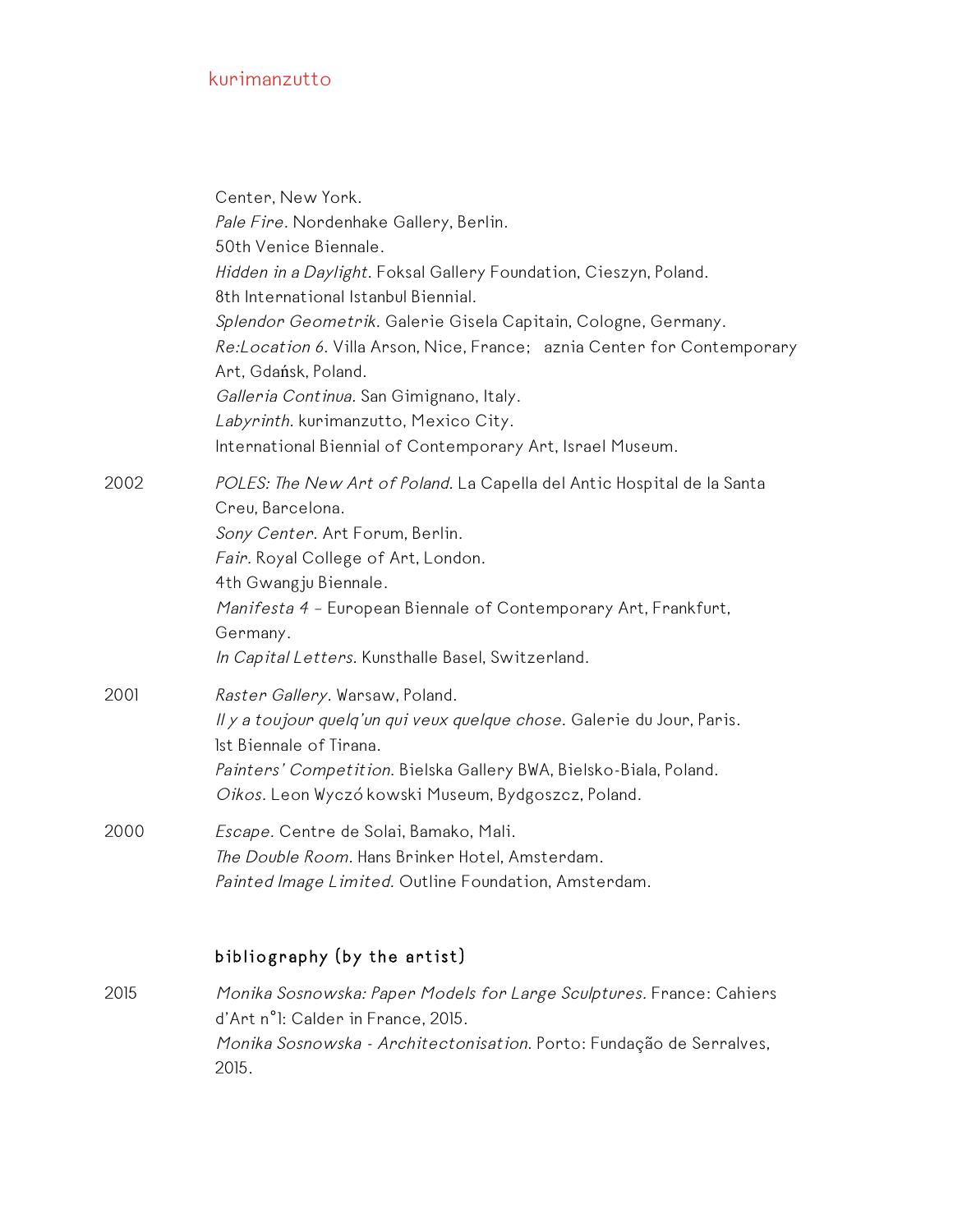|      | Center, New York.<br>Pale Fire. Nordenhake Gallery, Berlin.<br>50th Venice Biennale.<br>Hidden in a Daylight. Foksal Gallery Foundation, Cieszyn, Poland.<br>8th International Istanbul Biennial.<br>Splendor Geometrik. Galerie Gisela Capitain, Cologne, Germany.<br>Re:Location 6. Villa Arson, Nice, France; aznia Center for Contemporary<br>Art, Gdańsk, Poland.<br>Galleria Continua. San Gimignano, Italy.<br>Labyrinth. kurimanzutto, Mexico City.<br>International Biennial of Contemporary Art, Israel Museum. |
|------|---------------------------------------------------------------------------------------------------------------------------------------------------------------------------------------------------------------------------------------------------------------------------------------------------------------------------------------------------------------------------------------------------------------------------------------------------------------------------------------------------------------------------|
| 2002 | POLES: The New Art of Poland. La Capella del Antic Hospital de la Santa<br>Creu, Barcelona.<br>Sony Center. Art Forum, Berlin.<br>Fair. Royal College of Art, London.<br>4th Gwangju Biennale.<br>Manifesta 4 - European Biennale of Contemporary Art, Frankfurt,<br>Germany.<br>In Capital Letters. Kunsthalle Basel, Switzerland.                                                                                                                                                                                       |
| 2001 | Raster Gallery. Warsaw, Poland.<br>Il y a toujour quelq'un qui veux quelque chose. Galerie du Jour, Paris.<br>Ist Biennale of Tirana.<br>Painters' Competition. Bielska Gallery BWA, Bielsko-Biala, Poland.<br>Oikos. Leon Wyczó kowski Museum, Bydgoszcz, Poland.                                                                                                                                                                                                                                                        |
| 2000 | Escape. Centre de Solai, Bamako, Mali.<br>The Double Room. Hans Brinker Hotel, Amsterdam.<br>Painted Image Limited. Outline Foundation, Amsterdam.                                                                                                                                                                                                                                                                                                                                                                        |
|      | bibliography (by the artist)                                                                                                                                                                                                                                                                                                                                                                                                                                                                                              |
| 2015 | Monika Sosnowska: Paper Models for Large Sculptures. France: Cahiers<br>d'Art n°1: Calder in France, 2015.                                                                                                                                                                                                                                                                                                                                                                                                                |

Monika Sosnowska - Architectonisation. Porto: Fundação de Serralves, 2015.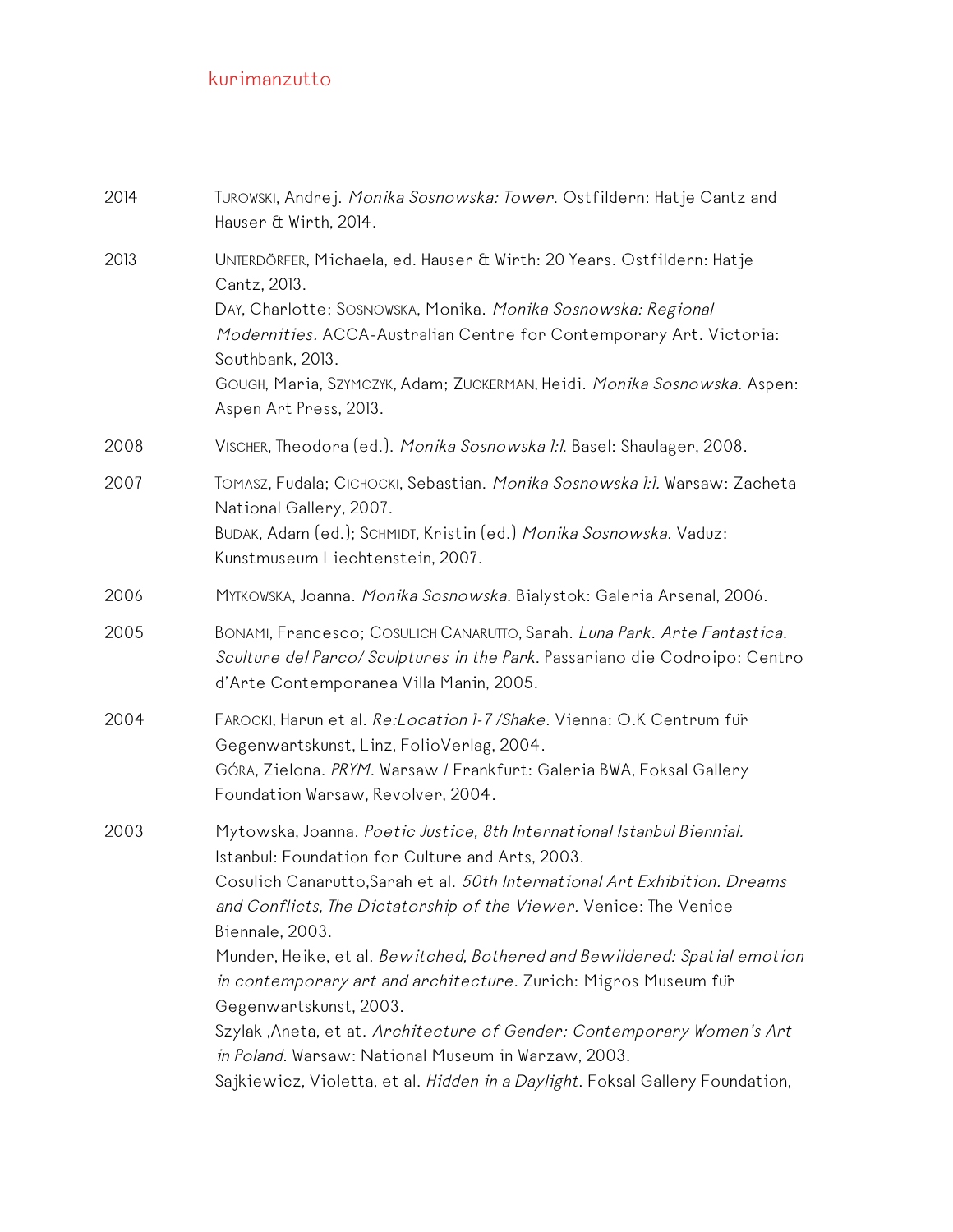| 2014 | TUROWSKI, Andrej. Monika Sosnowska: Tower. Ostfildern: Hatje Cantz and<br>Hauser & Wirth, 2014.                                                                                                                                                                                                                                                                                                                                                                                                                                                                                                                                                                                               |
|------|-----------------------------------------------------------------------------------------------------------------------------------------------------------------------------------------------------------------------------------------------------------------------------------------------------------------------------------------------------------------------------------------------------------------------------------------------------------------------------------------------------------------------------------------------------------------------------------------------------------------------------------------------------------------------------------------------|
| 2013 | UNTERDÖRFER, Michaela, ed. Hauser & Wirth: 20 Years. Ostfildern: Hatje<br>Cantz, 2013.<br>DAY, Charlotte; SOSNOWSKA, Monika. Monika Sosnowska: Regional<br>Modernities. ACCA-Australian Centre for Contemporary Art. Victoria:<br>Southbank, 2013.<br>GOUGH, Maria, SZYMCZYK, Adam; ZUCKERMAN, Heidi. Monika Sosnowska. Aspen:<br>Aspen Art Press, 2013.                                                                                                                                                                                                                                                                                                                                      |
| 2008 | VISCHER, Theodora (ed.). Monika Sosnowska 1:1. Basel: Shaulager, 2008.                                                                                                                                                                                                                                                                                                                                                                                                                                                                                                                                                                                                                        |
| 2007 | ТОМАSZ, Fudala; СІСНОСКІ, Sebastian. Monika Sosnowska l:l. Warsaw: Zacheta<br>National Gallery, 2007.<br>BUDAK, Adam (ed.); SCHMIDT, Kristin (ed.) Monika Sosnowska. Vaduz:<br>Kunstmuseum Liechtenstein, 2007.                                                                                                                                                                                                                                                                                                                                                                                                                                                                               |
| 2006 | MYTKOWSKA, Joanna. Monika Sosnowska. Bialystok: Galeria Arsenal, 2006.                                                                                                                                                                                                                                                                                                                                                                                                                                                                                                                                                                                                                        |
| 2005 | BONAMI, Francesco; COSULICH CANARUITO, Sarah. Luna Park. Arte Fantastica.<br>Sculture del Parco/ Sculptures in the Park. Passariano die Codroipo: Centro<br>d'Arte Contemporanea Villa Manin, 2005.                                                                                                                                                                                                                                                                                                                                                                                                                                                                                           |
| 2004 | FAROCKI, Harun et al. Re: Location 1-7 / Shake. Vienna: O.K Centrum fur<br>Gegenwartskunst, Linz, FolioVerlag, 2004.<br>GÓRA, Zielona. PRYM. Warsaw / Frankfurt: Galeria BWA, Foksal Gallery<br>Foundation Warsaw, Revolver, 2004.                                                                                                                                                                                                                                                                                                                                                                                                                                                            |
| 2003 | Mytowska, Joanna. Poetic Justice, 8th International Istanbul Biennial.<br>Istanbul: Foundation for Culture and Arts, 2003.<br>Cosulich Canarutto, Sarah et al. 50th International Art Exhibition. Dreams<br>and Conflicts, The Dictatorship of the Viewer. Venice: The Venice<br>Biennale, 2003.<br>Munder, Heike, et al. Bewitched, Bothered and Bewildered: Spatial emotion<br>in contemporary art and architecture. Zurich: Migros Museum fur<br>Gegenwartskunst, 2003.<br>Szylak , Aneta, et at. Architecture of Gender: Contemporary Women's Art<br>in Poland. Warsaw: National Museum in Warzaw, 2003.<br>Sajkiewicz, Violetta, et al. Hidden in a Daylight. Foksal Gallery Foundation, |
|      |                                                                                                                                                                                                                                                                                                                                                                                                                                                                                                                                                                                                                                                                                               |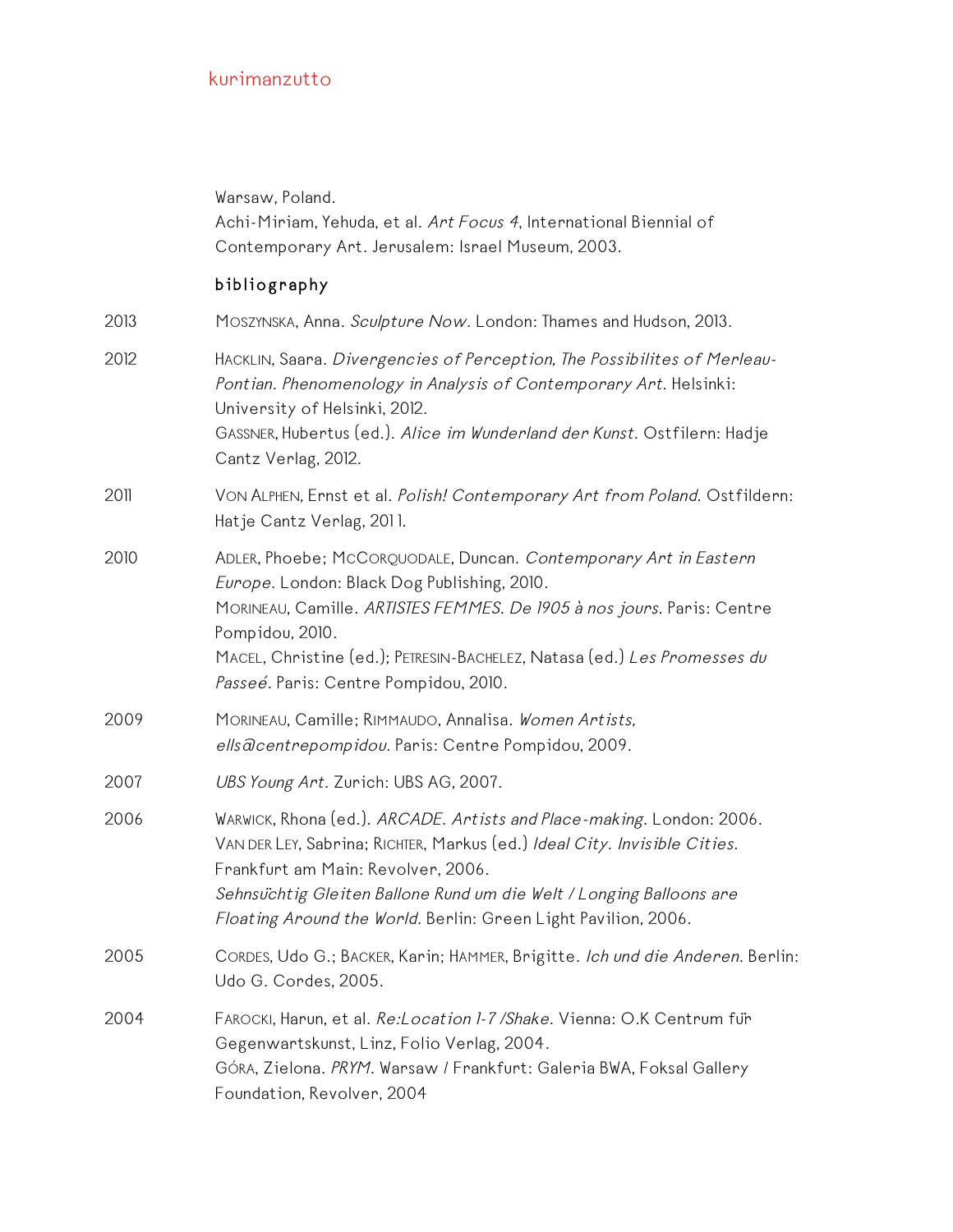|      | Warsaw, Poland.<br>Achi-Miriam, Yehuda, et al. Art Focus 4, International Biennial of<br>Contemporary Art. Jerusalem: Israel Museum, 2003.                                                                                                                                                                                        |
|------|-----------------------------------------------------------------------------------------------------------------------------------------------------------------------------------------------------------------------------------------------------------------------------------------------------------------------------------|
|      | bibliography                                                                                                                                                                                                                                                                                                                      |
| 2013 | MOSZYNSKA, Anna. Sculpture Now. London: Thames and Hudson, 2013.                                                                                                                                                                                                                                                                  |
| 2012 | HACKLIN, Saara. Divergencies of Perception, The Possibilites of Merleau-<br>Pontian. Phenomenology in Analysis of Contemporary Art. Helsinki:<br>University of Helsinki, 2012.<br>GASSNER, Hubertus (ed.). Alice im Wunderland der Kunst. Ostfilern: Hadje<br>Cantz Verlag, 2012.                                                 |
| 2011 | VON ALPHEN, Ernst et al. Polish! Contemporary Art from Poland. Ostfildern:<br>Hatje Cantz Verlag, 2011.                                                                                                                                                                                                                           |
| 2010 | ADLER, Phoebe; McCORQUODALE, Duncan. Contemporary Art in Eastern<br>Europe. London: Black Dog Publishing, 2010.<br>MORINEAU, Camille. ARTISTES FEMMES. De 1905 à nos jours. Paris: Centre<br>Pompidou, 2010.<br>MACEL, Christine (ed.); PETRESIN-BACHELEZ, Natasa (ed.) Les Promesses du<br>Passeé. Paris: Centre Pompidou, 2010. |
| 2009 | MORINEAU, Camille; RIMMAUDO, Annalisa. Women Artists,<br>ells acentrepompidou. Paris: Centre Pompidou, 2009.                                                                                                                                                                                                                      |
| 2007 | UBS Young Art. Zurich: UBS AG, 2007.                                                                                                                                                                                                                                                                                              |
| 2006 | WARWICK, Rhona (ed.). ARCADE. Artists and Place-making. London: 2006.<br>VAN DER LEY, Sabrina; RICHTER, Markus (ed.) Ideal City. Invisible Cities.<br>Frankfurt am Main: Revolver, 2006.<br>Sehnsuchtig Gleiten Ballone Rund um die Welt / Longing Balloons are<br>Floating Around the World. Berlin: Green Light Pavilion, 2006. |
| 2005 | CORDES, Udo G.; BACKER, Karin; HAMMER, Brigitte. Ich und die Anderen. Berlin:<br>Udo G. Cordes, 2005.                                                                                                                                                                                                                             |
| 2004 | FAROCKI, Harun, et al. Re: Location 1-7 / Shake. Vienna: O.K Centrum fur<br>Gegenwartskunst, Linz, Folio Verlag, 2004.<br>GÓRA, Zielona. PRYM. Warsaw / Frankfurt: Galeria BWA, Foksal Gallery<br>Foundation, Revolver, 2004                                                                                                      |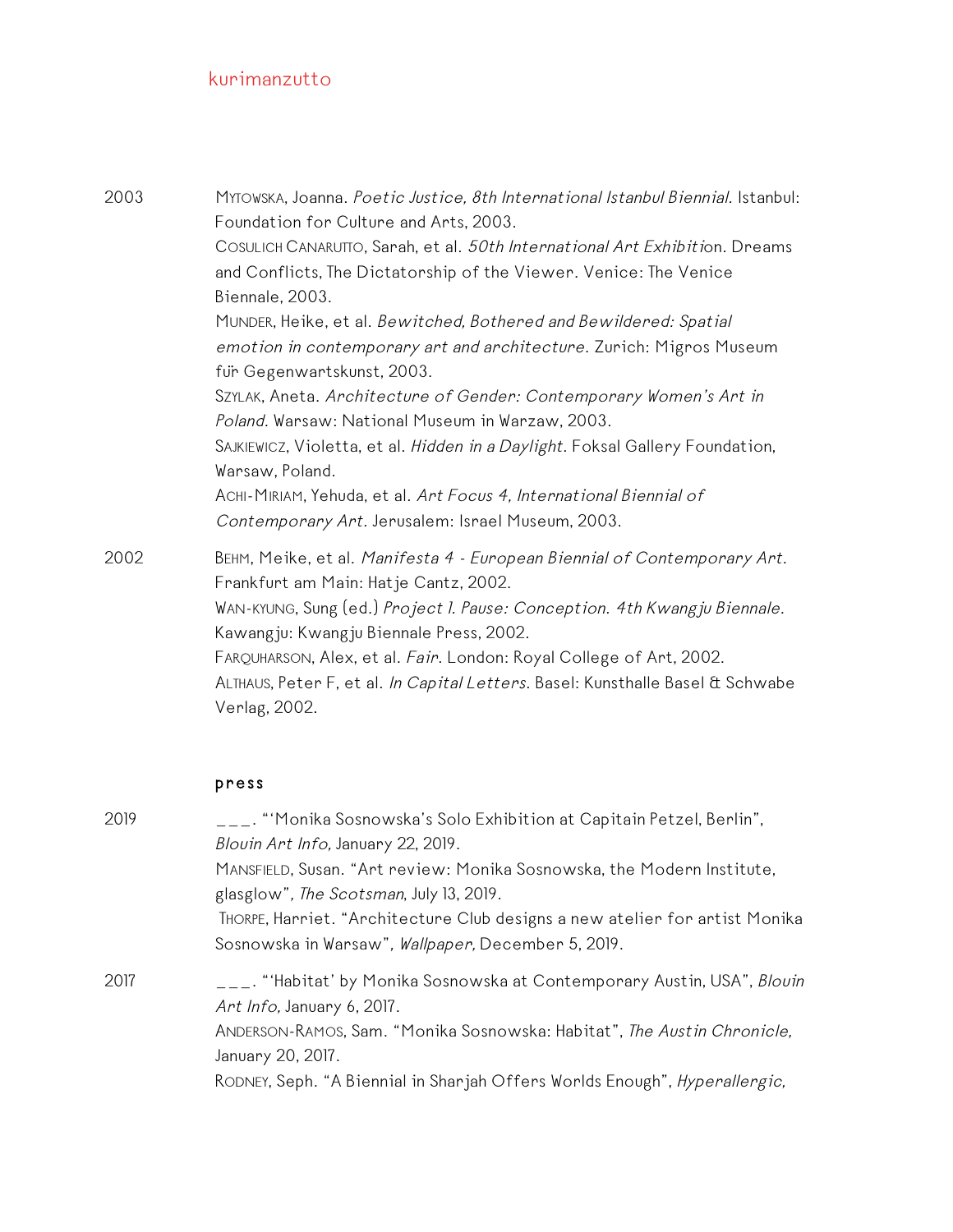| 2003 | MYTOWSKA, Joanna. Poetic Justice, 8th International Istanbul Biennial. Istanbul:<br>Foundation for Culture and Arts, 2003.                                             |
|------|------------------------------------------------------------------------------------------------------------------------------------------------------------------------|
|      | COSULICH CANARUITO, Sarah, et al. 50th International Art Exhibition. Dreams<br>and Conflicts, The Dictatorship of the Viewer. Venice: The Venice<br>Biennale, 2003.    |
|      | MUNDER, Heike, et al. Bewitched, Bothered and Bewildered: Spatial<br>emotion in contemporary art and architecture. Zurich: Migros Museum<br>für Gegenwartskunst, 2003. |
|      | SZYLAK, Aneta. Architecture of Gender: Contemporary Women's Art in<br>Poland. Warsaw: National Museum in Warzaw, 2003.                                                 |
|      | SAJKIEWICZ, Violetta, et al. Hidden in a Daylight. Foksal Gallery Foundation,<br>Warsaw, Poland.                                                                       |
|      | ACHI-MIRIAM, Yehuda, et al. Art Focus 4, International Biennial of<br>Contemporary Art. Jerusalem: Israel Museum, 2003.                                                |
| 2002 | BEHM, Meike, et al. Manifesta 4 - European Biennial of Contemporary Art.<br>Frankfurt am Main: Hatje Cantz, 2002.                                                      |
|      | WAN-KYUNG, Sung (ed.) Project I. Pause: Conception. 4th Kwangju Biennale.<br>Kawangju: Kwangju Biennale Press, 2002.                                                   |
|      | FARQUHARSON, Alex, et al. Fair. London: Royal College of Art, 2002.                                                                                                    |
|      | ALTHAUS, Peter F, et al. In Capital Letters. Basel: Kunsthalle Basel & Schwabe<br>Verlag, 2002.                                                                        |

# press

| 2019 | $\overline{a}$ $\overline{a}$ . "Monika Sosnowska's Solo Exhibition at Capitain Petzel, Berlin",<br>Blouin Art Info, January 22, 2019. |
|------|----------------------------------------------------------------------------------------------------------------------------------------|
|      | MANSFIELD, Susan. "Art review: Monika Sosnowska, the Modern Institute,<br>glasglow", The Scotsman, July 13, 2019.                      |
|      | THORPE, Harriet. "Architecture Club designs a new atelier for artist Monika<br>Sosnowska in Warsaw", Wallpaper, December 5, 2019.      |
| 2017 | ___. "'Habitat' by Monika Sosnowska at Contemporary Austin, USA", <i>Blouin</i><br>Art Info, January 6, 2017.                          |
|      | ANDERSON-RAMOS, Sam. "Monika Sosnowska: Habitat", The Austin Chronicle,<br>January 20, 2017.                                           |
|      | RODNEY, Seph. "A Biennial in Sharjah Offers Worlds Enough", Hyperallergic,                                                             |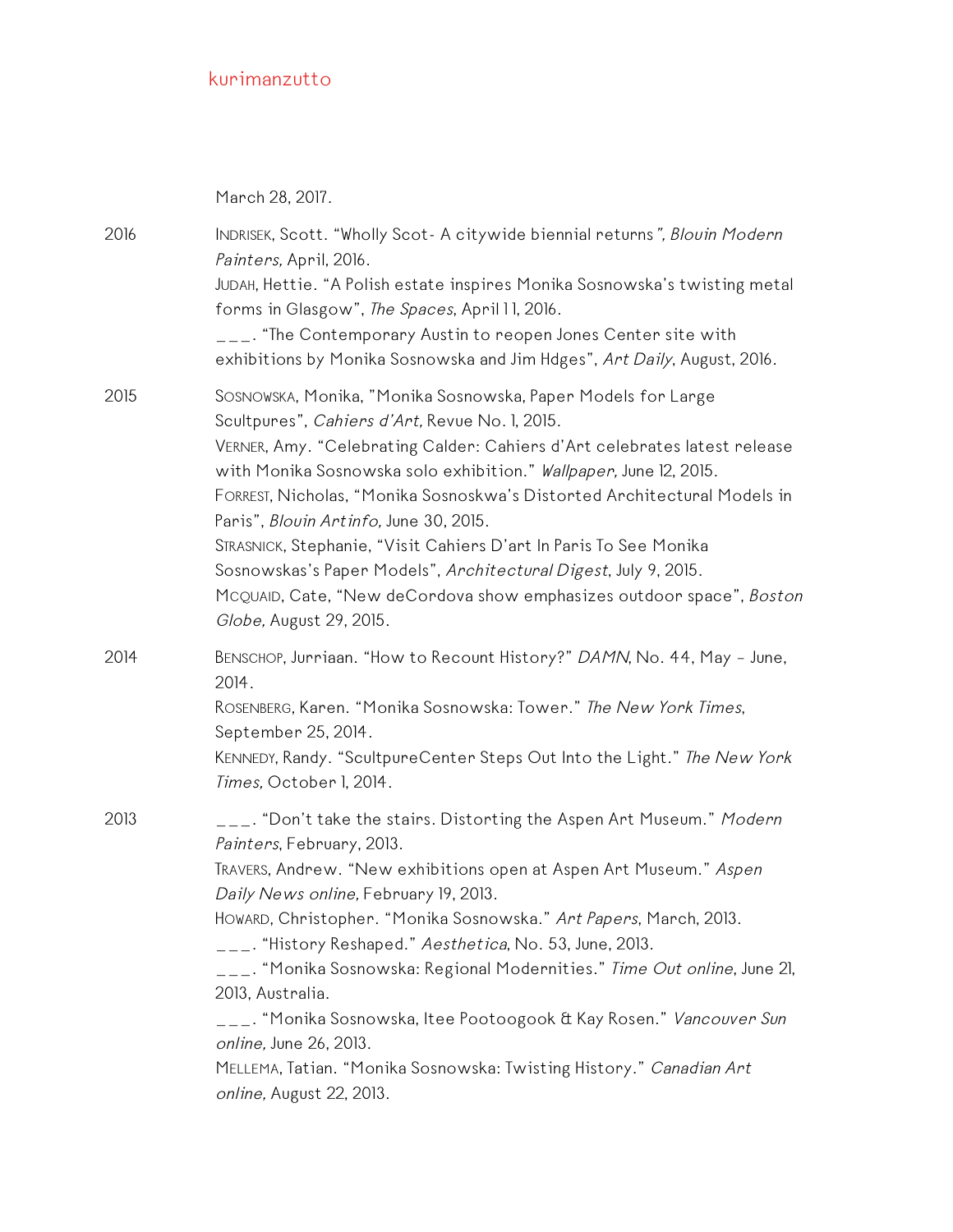March 28, 2017.

2016 INDRISEK, Scott. "Wholly Scot- A citywide biennial returns", Blouin Modern Painters, April, 2016. JUDAH, Hettie. "A Polish estate inspires Monika Sosnowska's twisting metal forms in Glasgow", The Spaces, April 11, 2016.  $\overline{\phantom{a}}$  =  $\overline{\phantom{a}}$ . "The Contemporary Austin to reopen Jones Center site with exhibitions by Monika Sosnowska and Jim Hdges", Art Daily, August, 2016. 2015 SOSNOWSKA, Monika, "Monika Sosnowska, Paper Models for Large Scultpures", Cahiers d'Art, Revue No. 1, 2015. VERNER, Amy. "Celebrating Calder: Cahiers d'Art celebrates latest release with Monika Sosnowska solo exhibition." Wallpaper, June 12, 2015. FORREST, Nicholas, "Monika Sosnoskwa's Distorted Architectural Models in Paris", Blouin Artinfo, June 30, 2015. STRASNICK, Stephanie, "Visit Cahiers D'art In Paris To See Monika Sosnowskas's Paper Models", Architectural Digest, July 9, 2015. MCQUAID, Cate, "New deCordova show emphasizes outdoor space", Boston Globe, August 29, 2015. 2014 BENSCHOP, Jurriaan. "How to Recount History?" DAMN, No. 44, May – June, 2014. ROSENBERG, Karen. "Monika Sosnowska: Tower." The New York Times, September 25, 2014. KENNEDY, Randy. "ScultpureCenter Steps Out Into the Light." The New York Times, October 1, 2014. 2013  $\mu_{-}$ . "Don't take the stairs. Distorting the Aspen Art Museum." Modern Painters, February, 2013. TRAVERS, Andrew. "New exhibitions open at Aspen Art Museum." Aspen Daily News online, February 19, 2013. HOWARD, Christopher. "Monika Sosnowska." Art Papers, March, 2013. \_\_\_. "History Reshaped." Aesthetica, No. 53, June, 2013. \_\_\_. "Monika Sosnowska: Regional Modernities." Time Out online, June 21, 2013, Australia. \_\_\_. "Monika Sosnowska, Itee Pootoogook & Kay Rosen." Vancouver Sun online, June 26, 2013. MELLEMA, Tatian. "Monika Sosnowska: Twisting History." Canadian Art online, August 22, 2013.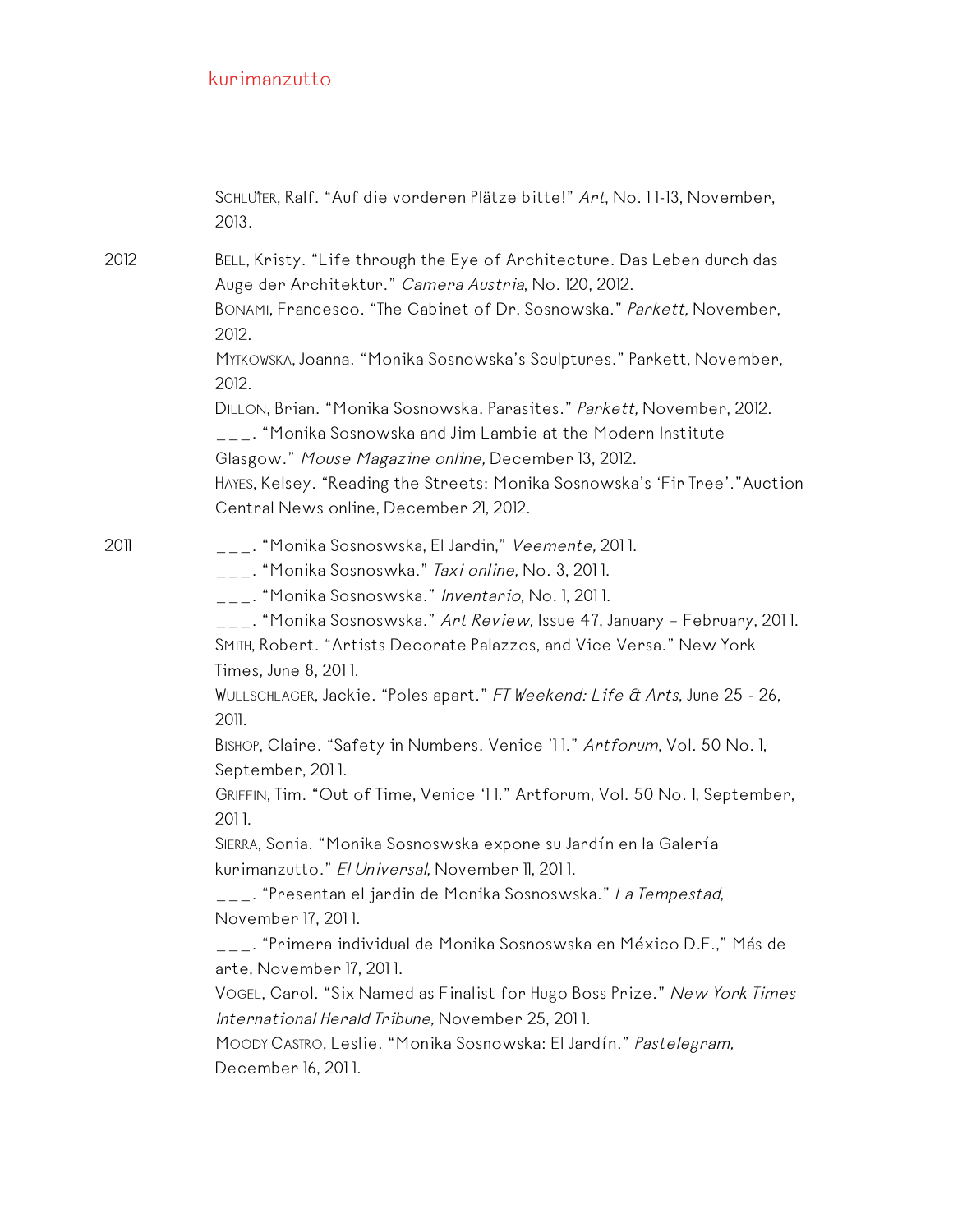SCHLUTER, Ralf. "Auf die vorderen Plätze bitte!" Art, No. 11-13, November, 2013.

2012 BELL, Kristy. "Life through the Eye of Architecture. Das Leben durch das Auge der Architektur." Camera Austria, No. 120, 2012.

> BONAMI, Francesco. "The Cabinet of Dr, Sosnowska." Parkett, November, 2012.

> MYTKOWSKA, Joanna. "Monika Sosnowska's Sculptures." Parkett, November, 2012.

DILLON, Brian. "Monika Sosnowska. Parasites." Parkett, November, 2012. \_\_\_. "Monika Sosnowska and Jim Lambie at the Modern Institute Glasgow." Mouse Magazine online, December 13, 2012.

HAYES, Kelsey. "Reading the Streets: Monika Sosnowska's 'Fir Tree'."Auction Central News online, December 21, 2012.

2011 \_\_\_\_. "Monika Sosnoswska, El Jardin," *Veemente,* 2011.

 $\overline{a_{11}}$ . "Monika Sosnoswka." *Taxi online,* No. 3, 2011.

\_\_\_. "Monika Sosnoswska." Inventario, No. 1, 2011.

\_\_\_. "Monika Sosnoswska." Art Review, Issue 47, January - February, 2011.

SMITH, Robert. "Artists Decorate Palazzos, and Vice Versa." New York Times, June 8, 201 1.

WULLSCHLAGER, Jackie. "Poles apart." FT Weekend: Life & Arts, June 25 - 26, 2011.

BISHOP, Claire. "Safety in Numbers. Venice '11." Artforum, Vol. 50 No. 1, September, 201 1.

GRIFFIN, Tim. "Out of Time, Venice '1 1." Artforum, Vol. 50 No. 1, September, 2011.

SIERRA, Sonia. "Monika Sosnoswska expone su Jardín en la Galería kurimanzutto." El Universal, November II, 2011.

\_\_\_. "Presentan el jardin de Monika Sosnoswska." La Tempestad, November 17, 201 1.

\_\_\_. "Primera individual de Monika Sosnoswska en México D.F.," Más de arte, November 17, 201 1.

VOGEL, Carol. "Six Named as Finalist for Hugo Boss Prize." New York Times International Herald Tribune, November 25, 2011.

MOODY CASTRO, Leslie. "Monika Sosnowska: El Jardín." Pastelegram, December 16, 201 1.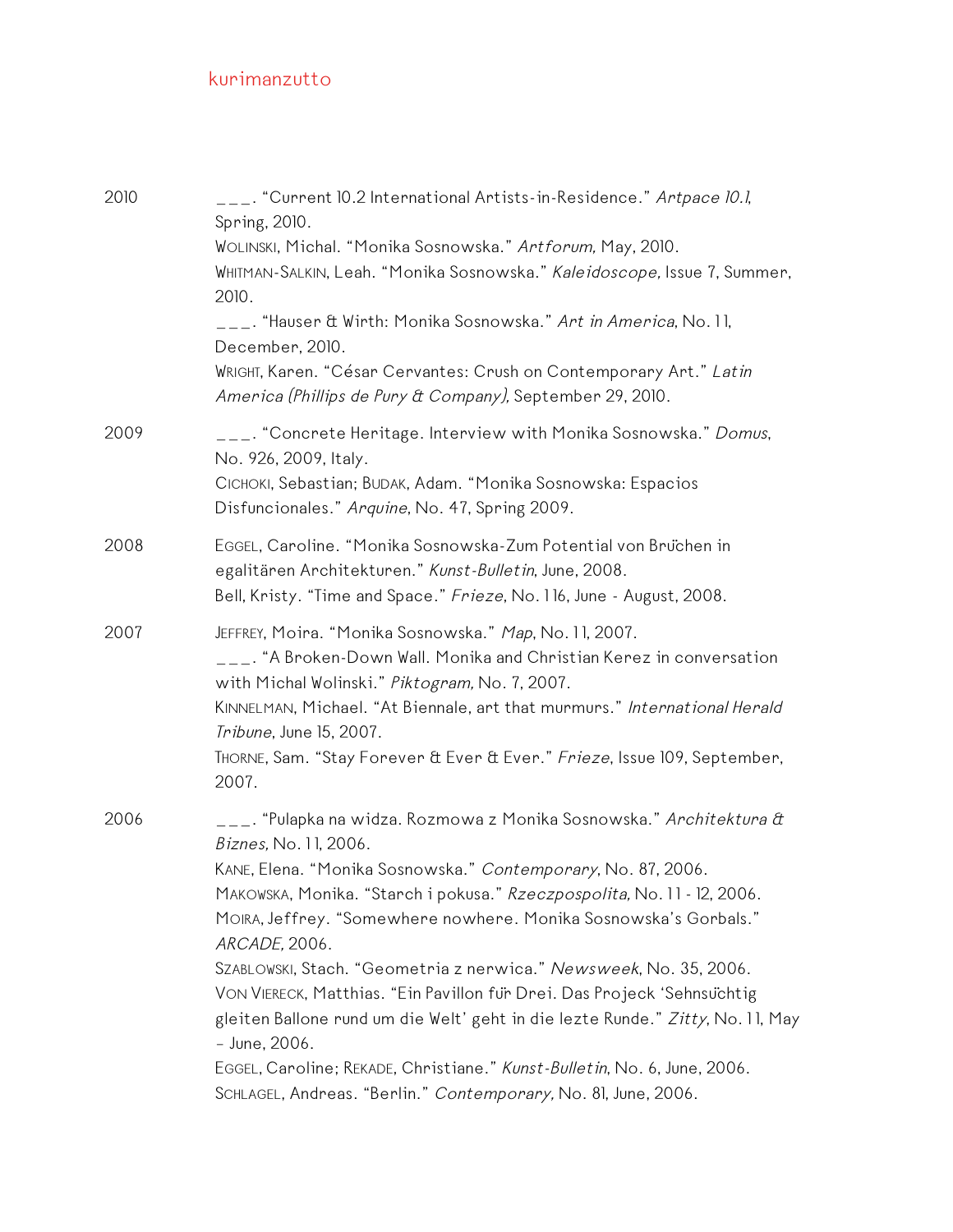| 2010 | .__. "Current 10.2 International Artists-in-Residence." <i>Artpace 10.1</i> ,<br>Spring, 2010.<br>WOLINSKI, Michal. "Monika Sosnowska." Artforum, May, 2010.                                                                                                                                                                                                                                          |
|------|-------------------------------------------------------------------------------------------------------------------------------------------------------------------------------------------------------------------------------------------------------------------------------------------------------------------------------------------------------------------------------------------------------|
|      | WHITMAN-SALKIN, Leah. "Monika Sosnowska." Kaleidoscope, Issue 7, Summer,<br>2010.                                                                                                                                                                                                                                                                                                                     |
|      | ___. "Hauser & Wirth: Monika Sosnowska." Art in America, No. 11,<br>December, 2010.                                                                                                                                                                                                                                                                                                                   |
|      | WRIGHT, Karen. "César Cervantes: Crush on Contemporary Art." Latin<br>America (Phillips de Pury & Company), September 29, 2010.                                                                                                                                                                                                                                                                       |
| 2009 | ___. "Concrete Heritage. Interview with Monika Sosnowska." Domus,<br>No. 926, 2009, Italy.                                                                                                                                                                                                                                                                                                            |
|      | CICHOKI, Sebastian; BUDAK, Adam. "Monika Sosnowska: Espacios<br>Disfuncionales." Arquine, No. 47, Spring 2009.                                                                                                                                                                                                                                                                                        |
| 2008 | EGGEL, Caroline. "Monika Sosnowska-Zum Potential von Bruchen in<br>egalitären Architekturen." Kunst-Bulletin, June, 2008.<br>Bell, Kristy. "Time and Space." Frieze, No. 116, June - August, 2008.                                                                                                                                                                                                    |
| 2007 | JEFFREY, Moira. "Monika Sosnowska." Map, No. 11, 2007.<br>$\mathcal{L}_{\mathcal{L}^{\perp}}$ . "A Broken-Down Wall. Monika and Christian Kerez in conversation<br>with Michal Wolinski." Piktogram, No. 7, 2007.<br>KINNELMAN, Michael. "At Biennale, art that murmurs." International Herald<br>Tribune, June 15, 2007.<br>THORNE, Sam. "Stay Forever & Ever & Ever." Frieze, Issue 109, September, |
| 2006 | 2007.                                                                                                                                                                                                                                                                                                                                                                                                 |
|      | ___. "Pulapka na widza. Rozmowa z Monika Sosnowska." <i>Architektura &amp;</i><br>Biznes, No. 11, 2006.                                                                                                                                                                                                                                                                                               |
|      | KANE, Elena. "Monika Sosnowska." Contemporary, No. 87, 2006.<br>MAKOWSKA, Monika. "Starch i pokusa." Rzeczpospolita, No. 11 - 12, 2006.<br>MOIRA, Jeffrey. "Somewhere nowhere. Monika Sosnowska's Gorbals."<br>ARCADE, 2006.                                                                                                                                                                          |
|      | SZABLOWSKI, Stach. "Geometria z nerwica." Newsweek, No. 35, 2006.<br>VON VIERECK, Matthias. "Ein Pavillon für Drei. Das Projeck 'Sehnsuchtig<br>gleiten Ballone rund um die Welt' geht in die lezte Runde." Zitty, No. 11, May<br>- June, 2006.                                                                                                                                                       |
|      | EGGEL, Caroline; REKADE, Christiane." Kunst-Bulletin, No. 6, June, 2006.<br>SCHLAGEL, Andreas. "Berlin." Contemporary, No. 81, June, 2006.                                                                                                                                                                                                                                                            |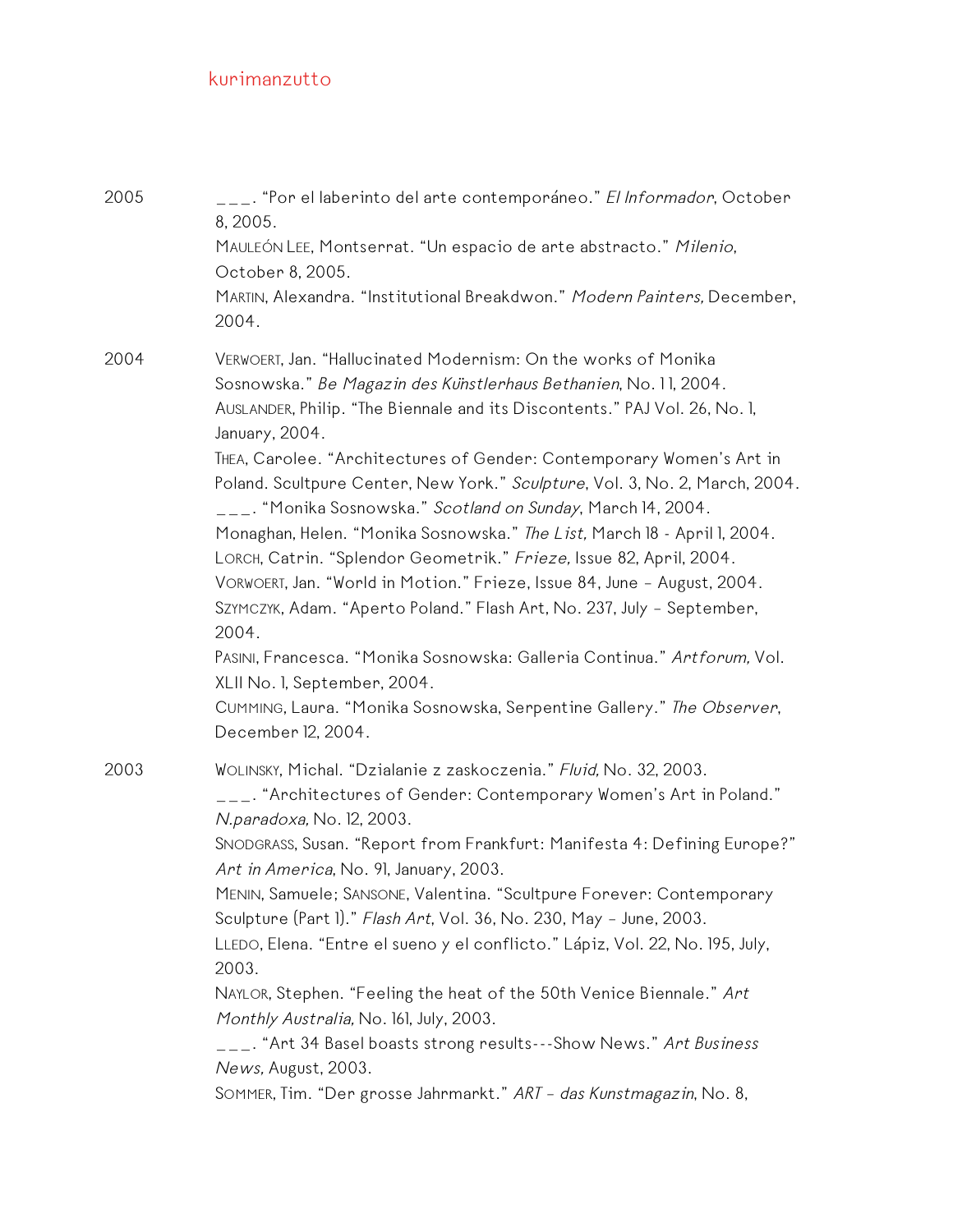| 2005 | ___. "Por el laberinto del arte contemporáneo." <i>El Informador</i> , October<br>8, 2005.<br>MAULEÓN LEE, Montserrat. "Un espacio de arte abstracto." Milenio,<br>October 8, 2005.<br>MARTIN, Alexandra. "Institutional Breakdwon." Modern Painters, December,<br>2004.                                                                                                                                                                                                                                                                                                                                                                                                                                                                                                                                                                                                                                                                                                                       |
|------|------------------------------------------------------------------------------------------------------------------------------------------------------------------------------------------------------------------------------------------------------------------------------------------------------------------------------------------------------------------------------------------------------------------------------------------------------------------------------------------------------------------------------------------------------------------------------------------------------------------------------------------------------------------------------------------------------------------------------------------------------------------------------------------------------------------------------------------------------------------------------------------------------------------------------------------------------------------------------------------------|
| 2004 | VERWOERT, Jan. "Hallucinated Modernism: On the works of Monika<br>Sosnowska." Be Magazin des Kunstlerhaus Bethanien, No. 11, 2004.<br>AUSLANDER, Philip. "The Biennale and its Discontents." PAJ Vol. 26, No. 1,<br>January, 2004.<br>THEA, Carolee. "Architectures of Gender: Contemporary Women's Art in<br>Poland. Scultpure Center, New York." Sculpture, Vol. 3, No. 2, March, 2004.<br>___. "Monika Sosnowska." <i>Scotland on Sunday</i> , March 14, 2004.<br>Monaghan, Helen. "Monika Sosnowska." The List, March 18 - April 1, 2004.<br>LORCH, Catrin. "Splendor Geometrik." Frieze, Issue 82, April, 2004.<br>VORWOERT, Jan. "World in Motion." Frieze, Issue 84, June - August, 2004.<br>SZYMCZYK, Adam. "Aperto Poland." Flash Art, No. 237, July - September,<br>2004.<br>PASINI, Francesca. "Monika Sosnowska: Galleria Continua." Artforum, Vol.<br>XLII No. 1, September, 2004.<br>CUMMING, Laura. "Monika Sosnowska, Serpentine Gallery." The Observer,<br>December 12, 2004. |
| 2003 | WOLINSKY, Michal. "Dzialanie z zaskoczenia." Fluid, No. 32, 2003.<br>___. "Architectures of Gender: Contemporary Women's Art in Poland."<br>N.paradoxa, No. 12, 2003.<br>SNODGRASS, Susan. "Report from Frankfurt: Manifesta 4: Defining Europe?"<br>Art in America, No. 91, January, 2003.<br>MENIN, Samuele; SANSONE, Valentina. "Scultpure Forever: Contemporary<br>Sculpture (Part I)." Flash Art, Vol. 36, No. 230, May - June, 2003.<br>LLEDO, Elena. "Entre el sueno y el conflicto." Lápiz, Vol. 22, No. 195, July,<br>2003.<br>NAYLOR, Stephen. "Feeling the heat of the 50th Venice Biennale." Art<br>Monthly Australia, No. 161, July, 2003.<br>___. "Art 34 Basel boasts strong results---Show News." <i>Art Business</i><br>News, August, 2003.<br>SOMMER, Tim. "Der grosse Jahrmarkt." ART - das Kunstmagazin, No. 8,                                                                                                                                                            |